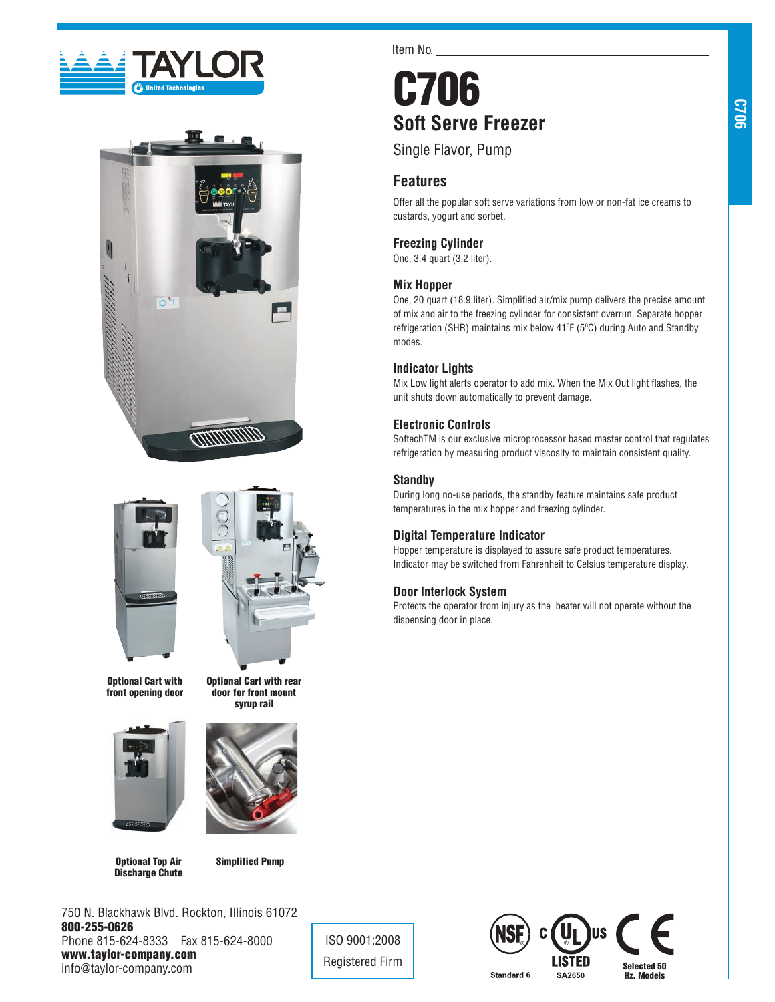





Optional Cart with front opening door





Optional Cart with rear door for front mount

Optional Top Air Discharge Chute Simplified Pump

750 N. Blackhawk Blvd. Rockton, Illinois 61072 800-255-0626 Phone 815-624-8333 Fax 815-624-8000 www.taylor-company.com info@taylor-company.com

ISO 9001:2008

Item No.

# C706 **Soft Serve Freezer**

Single Flavor, Pump

## **Features**

Offer all the popular soft serve variations from low or non-fat ice creams to custards, yogurt and sorbet.

## **Freezing Cylinder**

One, 3.4 quart (3.2 liter).

## **Mix Hopper**

One, 20 quart (18.9 liter). Simplified air/mix pump delivers the precise amount of mix and air to the freezing cylinder for consistent overrun. Separate hopper refrigeration (SHR) maintains mix below 41ºF (5ºC) during Auto and Standby modes.

## **Indicator Lights**

Mix Low light alerts operator to add mix. When the Mix Out light flashes, the unit shuts down automatically to prevent damage.

## **Electronic Controls**

SoftechTM is our exclusive microprocessor based master control that regulates refrigeration by measuring product viscosity to maintain consistent quality.

## **Standby**

During long no-use periods, the standby feature maintains safe product temperatures in the mix hopper and freezing cylinder.

## **Digital Temperature Indicator**

Hopper temperature is displayed to assure safe product temperatures. Indicator may be switched from Fahrenheit to Celsius temperature display.

## **Door Interlock System**

Protects the operator from injury as the beater will not operate without the dispensing door in place.